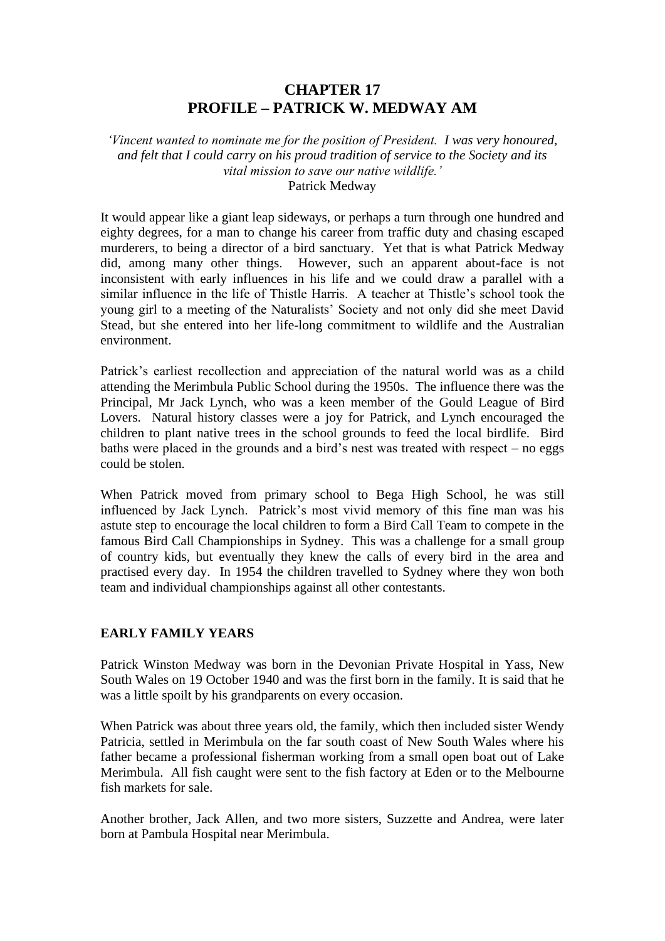# **CHAPTER 17 PROFILE – PATRICK W. MEDWAY AM**

*'Vincent wanted to nominate me for the position of President. I was very honoured, and felt that I could carry on his proud tradition of service to the Society and its vital mission to save our native wildlife.'* Patrick Medway

It would appear like a giant leap sideways, or perhaps a turn through one hundred and eighty degrees, for a man to change his career from traffic duty and chasing escaped murderers, to being a director of a bird sanctuary. Yet that is what Patrick Medway did, among many other things. However, such an apparent about-face is not inconsistent with early influences in his life and we could draw a parallel with a similar influence in the life of Thistle Harris. A teacher at Thistle's school took the young girl to a meeting of the Naturalists' Society and not only did she meet David Stead, but she entered into her life-long commitment to wildlife and the Australian environment.

Patrick's earliest recollection and appreciation of the natural world was as a child attending the Merimbula Public School during the 1950s. The influence there was the Principal, Mr Jack Lynch, who was a keen member of the Gould League of Bird Lovers. Natural history classes were a joy for Patrick, and Lynch encouraged the children to plant native trees in the school grounds to feed the local birdlife. Bird baths were placed in the grounds and a bird's nest was treated with respect – no eggs could be stolen.

When Patrick moved from primary school to Bega High School, he was still influenced by Jack Lynch. Patrick's most vivid memory of this fine man was his astute step to encourage the local children to form a Bird Call Team to compete in the famous Bird Call Championships in Sydney. This was a challenge for a small group of country kids, but eventually they knew the calls of every bird in the area and practised every day. In 1954 the children travelled to Sydney where they won both team and individual championships against all other contestants.

## **EARLY FAMILY YEARS**

Patrick Winston Medway was born in the Devonian Private Hospital in Yass, New South Wales on 19 October 1940 and was the first born in the family. It is said that he was a little spoilt by his grandparents on every occasion.

When Patrick was about three years old, the family, which then included sister Wendy Patricia, settled in Merimbula on the far south coast of New South Wales where his father became a professional fisherman working from a small open boat out of Lake Merimbula. All fish caught were sent to the fish factory at Eden or to the Melbourne fish markets for sale.

Another brother, Jack Allen, and two more sisters, Suzzette and Andrea, were later born at Pambula Hospital near Merimbula.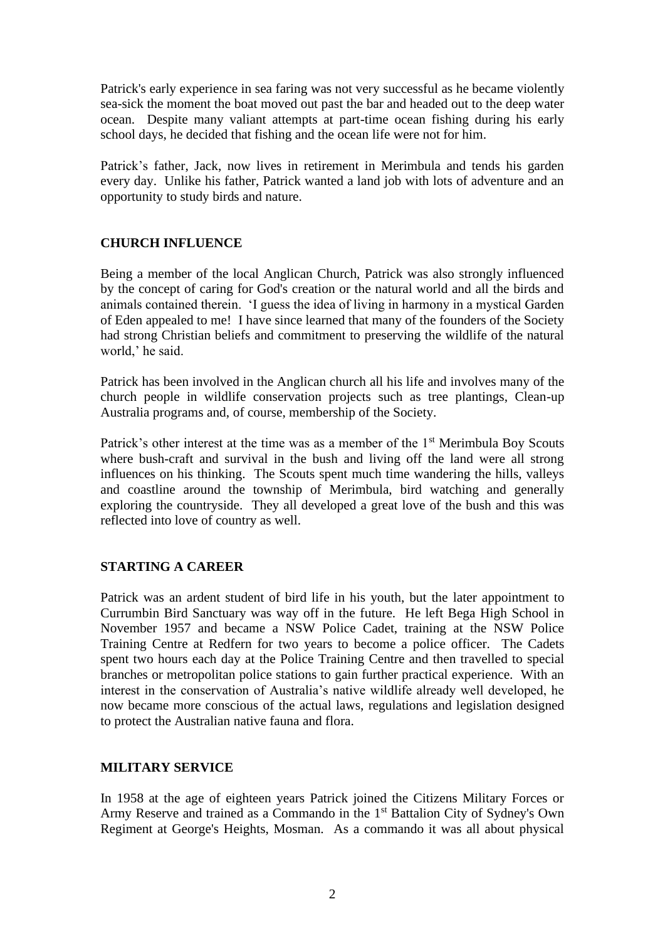Patrick's early experience in sea faring was not very successful as he became violently sea-sick the moment the boat moved out past the bar and headed out to the deep water ocean. Despite many valiant attempts at part-time ocean fishing during his early school days, he decided that fishing and the ocean life were not for him.

Patrick's father, Jack, now lives in retirement in Merimbula and tends his garden every day. Unlike his father, Patrick wanted a land job with lots of adventure and an opportunity to study birds and nature.

### **CHURCH INFLUENCE**

Being a member of the local Anglican Church, Patrick was also strongly influenced by the concept of caring for God's creation or the natural world and all the birds and animals contained therein. 'I guess the idea of living in harmony in a mystical Garden of Eden appealed to me! I have since learned that many of the founders of the Society had strong Christian beliefs and commitment to preserving the wildlife of the natural world,' he said.

Patrick has been involved in the Anglican church all his life and involves many of the church people in wildlife conservation projects such as tree plantings, Clean-up Australia programs and, of course, membership of the Society.

Patrick's other interest at the time was as a member of the 1<sup>st</sup> Merimbula Boy Scouts where bush-craft and survival in the bush and living off the land were all strong influences on his thinking. The Scouts spent much time wandering the hills, valleys and coastline around the township of Merimbula, bird watching and generally exploring the countryside. They all developed a great love of the bush and this was reflected into love of country as well.

#### **STARTING A CAREER**

Patrick was an ardent student of bird life in his youth, but the later appointment to Currumbin Bird Sanctuary was way off in the future. He left Bega High School in November 1957 and became a NSW Police Cadet, training at the NSW Police Training Centre at Redfern for two years to become a police officer. The Cadets spent two hours each day at the Police Training Centre and then travelled to special branches or metropolitan police stations to gain further practical experience. With an interest in the conservation of Australia's native wildlife already well developed, he now became more conscious of the actual laws, regulations and legislation designed to protect the Australian native fauna and flora.

#### **MILITARY SERVICE**

In 1958 at the age of eighteen years Patrick joined the Citizens Military Forces or Army Reserve and trained as a Commando in the 1<sup>st</sup> Battalion City of Sydney's Own Regiment at George's Heights, Mosman. As a commando it was all about physical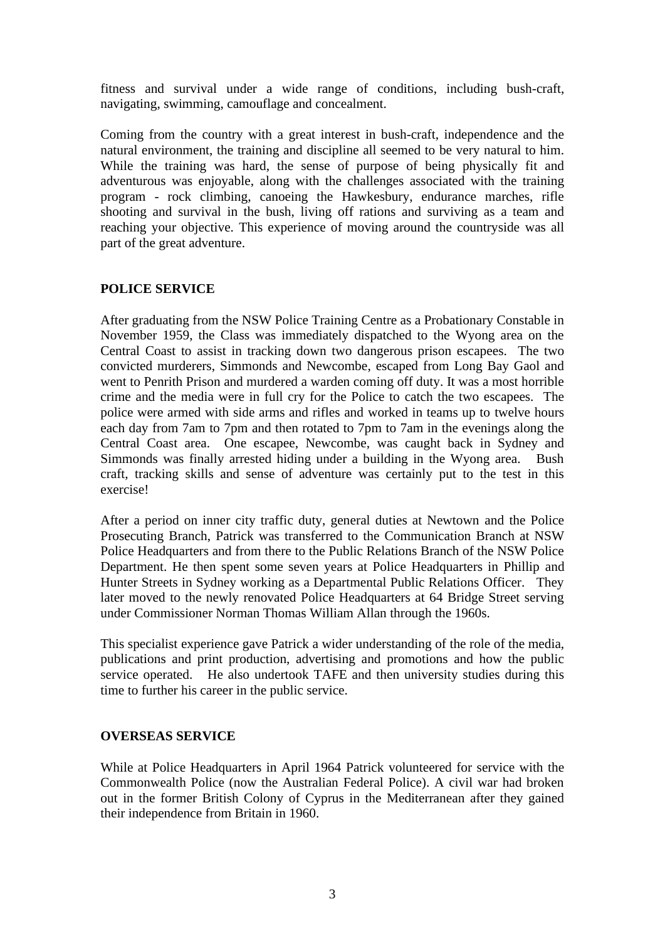fitness and survival under a wide range of conditions, including bush-craft, navigating, swimming, camouflage and concealment.

Coming from the country with a great interest in bush-craft, independence and the natural environment, the training and discipline all seemed to be very natural to him. While the training was hard, the sense of purpose of being physically fit and adventurous was enjoyable, along with the challenges associated with the training program - rock climbing, canoeing the Hawkesbury, endurance marches, rifle shooting and survival in the bush, living off rations and surviving as a team and reaching your objective. This experience of moving around the countryside was all part of the great adventure.

#### **POLICE SERVICE**

After graduating from the NSW Police Training Centre as a Probationary Constable in November 1959, the Class was immediately dispatched to the Wyong area on the Central Coast to assist in tracking down two dangerous prison escapees. The two convicted murderers, Simmonds and Newcombe, escaped from Long Bay Gaol and went to Penrith Prison and murdered a warden coming off duty. It was a most horrible crime and the media were in full cry for the Police to catch the two escapees. The police were armed with side arms and rifles and worked in teams up to twelve hours each day from 7am to 7pm and then rotated to 7pm to 7am in the evenings along the Central Coast area. One escapee, Newcombe, was caught back in Sydney and Simmonds was finally arrested hiding under a building in the Wyong area. Bush craft, tracking skills and sense of adventure was certainly put to the test in this exercise!

After a period on inner city traffic duty, general duties at Newtown and the Police Prosecuting Branch, Patrick was transferred to the Communication Branch at NSW Police Headquarters and from there to the Public Relations Branch of the NSW Police Department. He then spent some seven years at Police Headquarters in Phillip and Hunter Streets in Sydney working as a Departmental Public Relations Officer. They later moved to the newly renovated Police Headquarters at 64 Bridge Street serving under Commissioner Norman Thomas William Allan through the 1960s.

This specialist experience gave Patrick a wider understanding of the role of the media, publications and print production, advertising and promotions and how the public service operated. He also undertook TAFE and then university studies during this time to further his career in the public service.

## **OVERSEAS SERVICE**

While at Police Headquarters in April 1964 Patrick volunteered for service with the Commonwealth Police (now the Australian Federal Police). A civil war had broken out in the former British Colony of Cyprus in the Mediterranean after they gained their independence from Britain in 1960.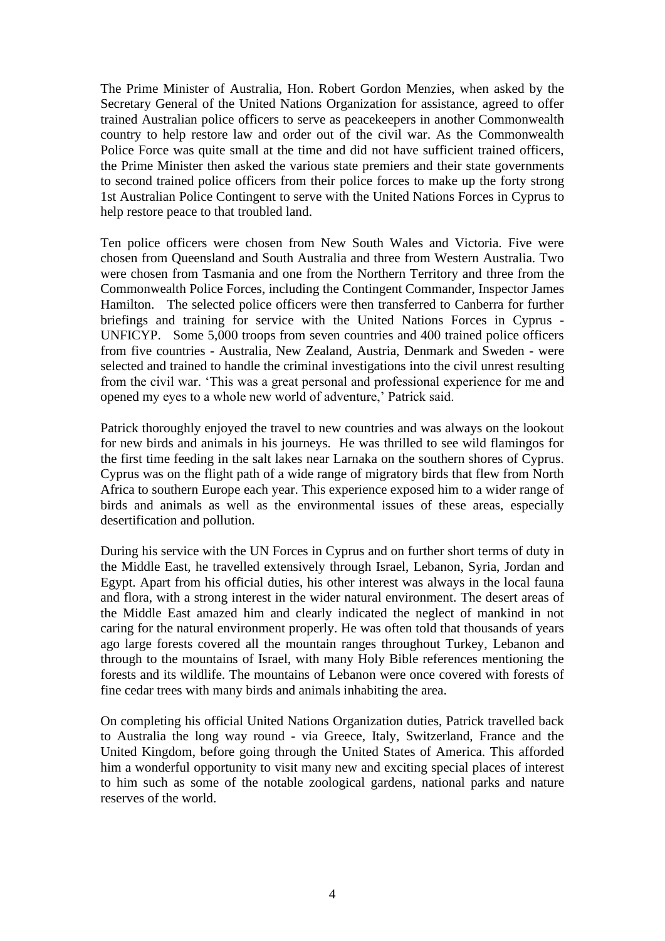The Prime Minister of Australia, Hon. Robert Gordon Menzies, when asked by the Secretary General of the United Nations Organization for assistance, agreed to offer trained Australian police officers to serve as peacekeepers in another Commonwealth country to help restore law and order out of the civil war. As the Commonwealth Police Force was quite small at the time and did not have sufficient trained officers, the Prime Minister then asked the various state premiers and their state governments to second trained police officers from their police forces to make up the forty strong 1st Australian Police Contingent to serve with the United Nations Forces in Cyprus to help restore peace to that troubled land.

Ten police officers were chosen from New South Wales and Victoria. Five were chosen from Queensland and South Australia and three from Western Australia. Two were chosen from Tasmania and one from the Northern Territory and three from the Commonwealth Police Forces, including the Contingent Commander, Inspector James Hamilton. The selected police officers were then transferred to Canberra for further briefings and training for service with the United Nations Forces in Cyprus - UNFICYP. Some 5,000 troops from seven countries and 400 trained police officers from five countries - Australia, New Zealand, Austria, Denmark and Sweden - were selected and trained to handle the criminal investigations into the civil unrest resulting from the civil war. 'This was a great personal and professional experience for me and opened my eyes to a whole new world of adventure,' Patrick said.

Patrick thoroughly enjoyed the travel to new countries and was always on the lookout for new birds and animals in his journeys. He was thrilled to see wild flamingos for the first time feeding in the salt lakes near Larnaka on the southern shores of Cyprus. Cyprus was on the flight path of a wide range of migratory birds that flew from North Africa to southern Europe each year. This experience exposed him to a wider range of birds and animals as well as the environmental issues of these areas, especially desertification and pollution.

During his service with the UN Forces in Cyprus and on further short terms of duty in the Middle East, he travelled extensively through Israel, Lebanon, Syria, Jordan and Egypt. Apart from his official duties, his other interest was always in the local fauna and flora, with a strong interest in the wider natural environment. The desert areas of the Middle East amazed him and clearly indicated the neglect of mankind in not caring for the natural environment properly. He was often told that thousands of years ago large forests covered all the mountain ranges throughout Turkey, Lebanon and through to the mountains of Israel, with many Holy Bible references mentioning the forests and its wildlife. The mountains of Lebanon were once covered with forests of fine cedar trees with many birds and animals inhabiting the area.

On completing his official United Nations Organization duties, Patrick travelled back to Australia the long way round - via Greece, Italy, Switzerland, France and the United Kingdom, before going through the United States of America. This afforded him a wonderful opportunity to visit many new and exciting special places of interest to him such as some of the notable zoological gardens, national parks and nature reserves of the world.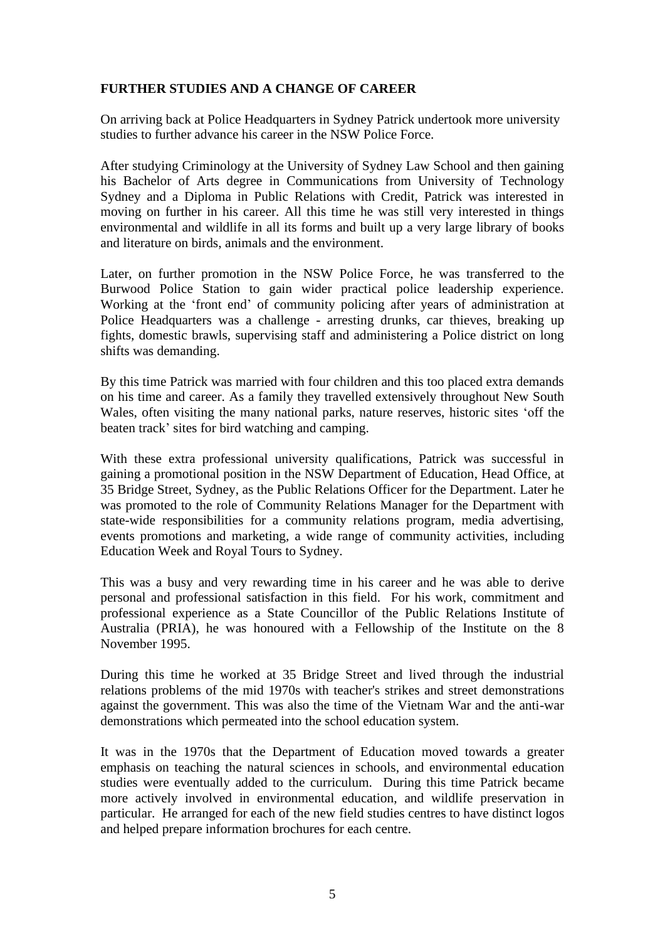## **FURTHER STUDIES AND A CHANGE OF CAREER**

On arriving back at Police Headquarters in Sydney Patrick undertook more university studies to further advance his career in the NSW Police Force.

After studying Criminology at the University of Sydney Law School and then gaining his Bachelor of Arts degree in Communications from University of Technology Sydney and a Diploma in Public Relations with Credit, Patrick was interested in moving on further in his career. All this time he was still very interested in things environmental and wildlife in all its forms and built up a very large library of books and literature on birds, animals and the environment.

Later, on further promotion in the NSW Police Force, he was transferred to the Burwood Police Station to gain wider practical police leadership experience. Working at the 'front end' of community policing after years of administration at Police Headquarters was a challenge - arresting drunks, car thieves, breaking up fights, domestic brawls, supervising staff and administering a Police district on long shifts was demanding.

By this time Patrick was married with four children and this too placed extra demands on his time and career. As a family they travelled extensively throughout New South Wales, often visiting the many national parks, nature reserves, historic sites 'off the beaten track' sites for bird watching and camping.

With these extra professional university qualifications, Patrick was successful in gaining a promotional position in the NSW Department of Education, Head Office, at 35 Bridge Street, Sydney, as the Public Relations Officer for the Department. Later he was promoted to the role of Community Relations Manager for the Department with state-wide responsibilities for a community relations program, media advertising, events promotions and marketing, a wide range of community activities, including Education Week and Royal Tours to Sydney.

This was a busy and very rewarding time in his career and he was able to derive personal and professional satisfaction in this field. For his work, commitment and professional experience as a State Councillor of the Public Relations Institute of Australia (PRIA), he was honoured with a Fellowship of the Institute on the 8 November 1995.

During this time he worked at 35 Bridge Street and lived through the industrial relations problems of the mid 1970s with teacher's strikes and street demonstrations against the government. This was also the time of the Vietnam War and the anti-war demonstrations which permeated into the school education system.

It was in the 1970s that the Department of Education moved towards a greater emphasis on teaching the natural sciences in schools, and environmental education studies were eventually added to the curriculum.During this time Patrick became more actively involved in environmental education, and wildlife preservation in particular. He arranged for each of the new field studies centres to have distinct logos and helped prepare information brochures for each centre.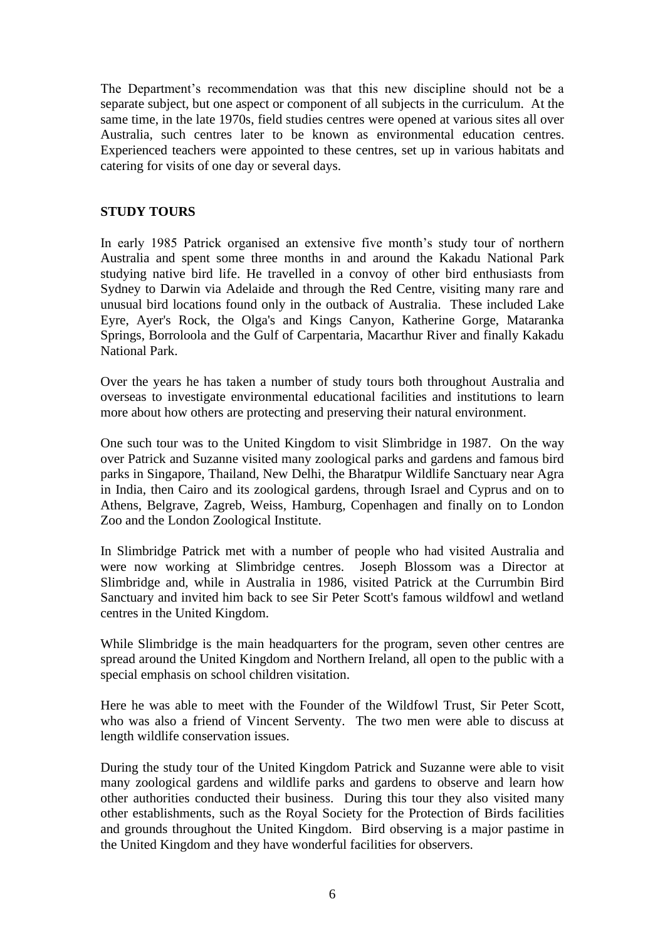The Department's recommendation was that this new discipline should not be a separate subject, but one aspect or component of all subjects in the curriculum. At the same time, in the late 1970s, field studies centres were opened at various sites all over Australia, such centres later to be known as environmental education centres. Experienced teachers were appointed to these centres, set up in various habitats and catering for visits of one day or several days.

### **STUDY TOURS**

In early 1985 Patrick organised an extensive five month's study tour of northern Australia and spent some three months in and around the Kakadu National Park studying native bird life. He travelled in a convoy of other bird enthusiasts from Sydney to Darwin via Adelaide and through the Red Centre, visiting many rare and unusual bird locations found only in the outback of Australia. These included Lake Eyre, Ayer's Rock, the Olga's and Kings Canyon, Katherine Gorge, Mataranka Springs, Borroloola and the Gulf of Carpentaria, Macarthur River and finally Kakadu National Park.

Over the years he has taken a number of study tours both throughout Australia and overseas to investigate environmental educational facilities and institutions to learn more about how others are protecting and preserving their natural environment.

One such tour was to the United Kingdom to visit Slimbridge in 1987. On the way over Patrick and Suzanne visited many zoological parks and gardens and famous bird parks in Singapore, Thailand, New Delhi, the Bharatpur Wildlife Sanctuary near Agra in India, then Cairo and its zoological gardens, through Israel and Cyprus and on to Athens, Belgrave, Zagreb, Weiss, Hamburg, Copenhagen and finally on to London Zoo and the London Zoological Institute.

In Slimbridge Patrick met with a number of people who had visited Australia and were now working at Slimbridge centres. Joseph Blossom was a Director at Slimbridge and, while in Australia in 1986, visited Patrick at the Currumbin Bird Sanctuary and invited him back to see Sir Peter Scott's famous wildfowl and wetland centres in the United Kingdom.

While Slimbridge is the main headquarters for the program, seven other centres are spread around the United Kingdom and Northern Ireland, all open to the public with a special emphasis on school children visitation.

Here he was able to meet with the Founder of the Wildfowl Trust, Sir Peter Scott, who was also a friend of Vincent Serventy. The two men were able to discuss at length wildlife conservation issues.

During the study tour of the United Kingdom Patrick and Suzanne were able to visit many zoological gardens and wildlife parks and gardens to observe and learn how other authorities conducted their business. During this tour they also visited many other establishments, such as the Royal Society for the Protection of Birds facilities and grounds throughout the United Kingdom. Bird observing is a major pastime in the United Kingdom and they have wonderful facilities for observers.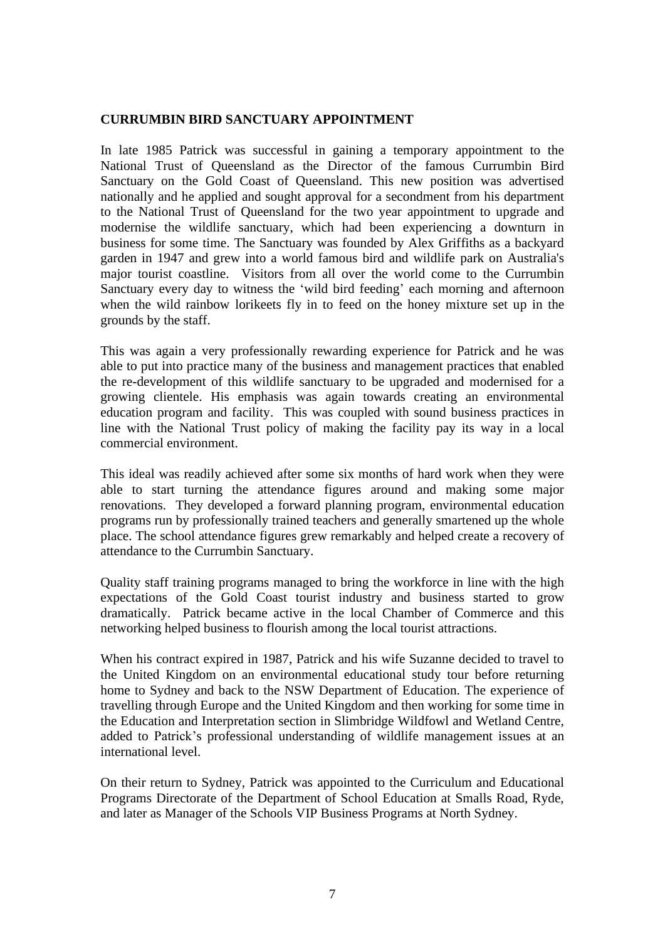#### **CURRUMBIN BIRD SANCTUARY APPOINTMENT**

In late 1985 Patrick was successful in gaining a temporary appointment to the National Trust of Queensland as the Director of the famous Currumbin Bird Sanctuary on the Gold Coast of Queensland. This new position was advertised nationally and he applied and sought approval for a secondment from his department to the National Trust of Queensland for the two year appointment to upgrade and modernise the wildlife sanctuary, which had been experiencing a downturn in business for some time. The Sanctuary was founded by Alex Griffiths as a backyard garden in 1947 and grew into a world famous bird and wildlife park on Australia's major tourist coastline. Visitors from all over the world come to the Currumbin Sanctuary every day to witness the 'wild bird feeding' each morning and afternoon when the wild rainbow lorikeets fly in to feed on the honey mixture set up in the grounds by the staff.

This was again a very professionally rewarding experience for Patrick and he was able to put into practice many of the business and management practices that enabled the re-development of this wildlife sanctuary to be upgraded and modernised for a growing clientele. His emphasis was again towards creating an environmental education program and facility. This was coupled with sound business practices in line with the National Trust policy of making the facility pay its way in a local commercial environment.

This ideal was readily achieved after some six months of hard work when they were able to start turning the attendance figures around and making some major renovations. They developed a forward planning program, environmental education programs run by professionally trained teachers and generally smartened up the whole place. The school attendance figures grew remarkably and helped create a recovery of attendance to the Currumbin Sanctuary.

Quality staff training programs managed to bring the workforce in line with the high expectations of the Gold Coast tourist industry and business started to grow dramatically. Patrick became active in the local Chamber of Commerce and this networking helped business to flourish among the local tourist attractions.

When his contract expired in 1987, Patrick and his wife Suzanne decided to travel to the United Kingdom on an environmental educational study tour before returning home to Sydney and back to the NSW Department of Education. The experience of travelling through Europe and the United Kingdom and then working for some time in the Education and Interpretation section in Slimbridge Wildfowl and Wetland Centre, added to Patrick's professional understanding of wildlife management issues at an international level.

On their return to Sydney, Patrick was appointed to the Curriculum and Educational Programs Directorate of the Department of School Education at Smalls Road, Ryde, and later as Manager of the Schools VIP Business Programs at North Sydney.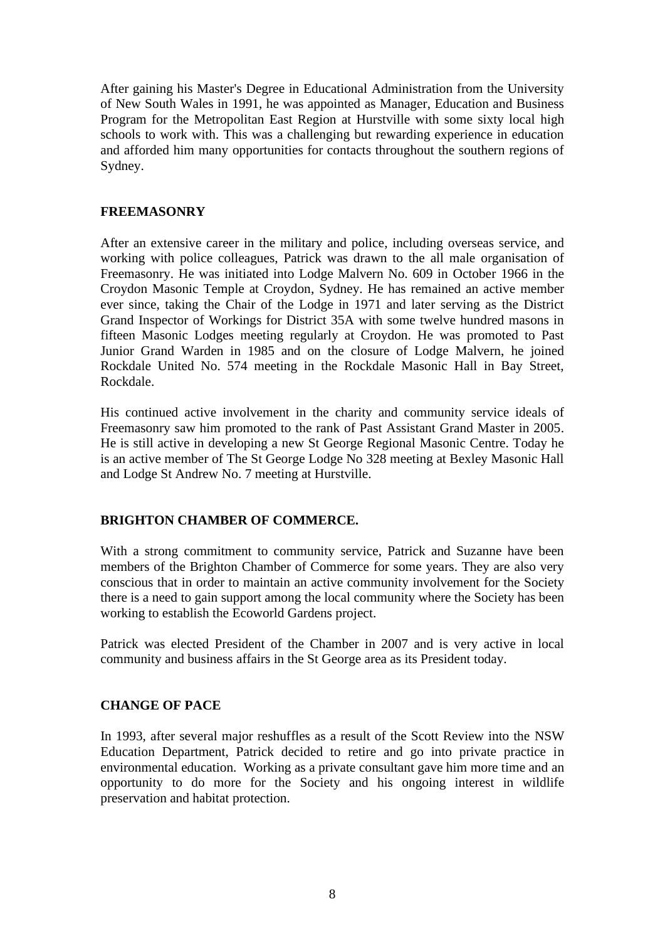After gaining his Master's Degree in Educational Administration from the University of New South Wales in 1991, he was appointed as Manager, Education and Business Program for the Metropolitan East Region at Hurstville with some sixty local high schools to work with. This was a challenging but rewarding experience in education and afforded him many opportunities for contacts throughout the southern regions of Sydney.

#### **FREEMASONRY**

After an extensive career in the military and police, including overseas service, and working with police colleagues, Patrick was drawn to the all male organisation of Freemasonry. He was initiated into Lodge Malvern No. 609 in October 1966 in the Croydon Masonic Temple at Croydon, Sydney. He has remained an active member ever since, taking the Chair of the Lodge in 1971 and later serving as the District Grand Inspector of Workings for District 35A with some twelve hundred masons in fifteen Masonic Lodges meeting regularly at Croydon. He was promoted to Past Junior Grand Warden in 1985 and on the closure of Lodge Malvern, he joined Rockdale United No. 574 meeting in the Rockdale Masonic Hall in Bay Street, Rockdale.

His continued active involvement in the charity and community service ideals of Freemasonry saw him promoted to the rank of Past Assistant Grand Master in 2005. He is still active in developing a new St George Regional Masonic Centre. Today he is an active member of The St George Lodge No 328 meeting at Bexley Masonic Hall and Lodge St Andrew No. 7 meeting at Hurstville.

## **BRIGHTON CHAMBER OF COMMERCE.**

With a strong commitment to community service, Patrick and Suzanne have been members of the Brighton Chamber of Commerce for some years. They are also very conscious that in order to maintain an active community involvement for the Society there is a need to gain support among the local community where the Society has been working to establish the Ecoworld Gardens project.

Patrick was elected President of the Chamber in 2007 and is very active in local community and business affairs in the St George area as its President today.

#### **CHANGE OF PACE**

In 1993, after several major reshuffles as a result of the Scott Review into the NSW Education Department, Patrick decided to retire and go into private practice in environmental education. Working as a private consultant gave him more time and an opportunity to do more for the Society and his ongoing interest in wildlife preservation and habitat protection.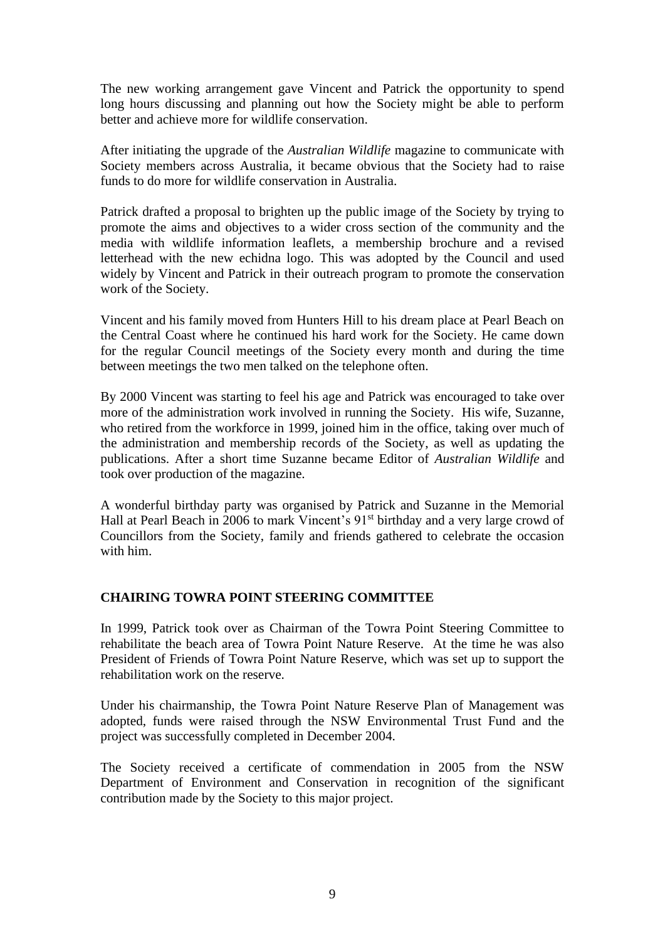The new working arrangement gave Vincent and Patrick the opportunity to spend long hours discussing and planning out how the Society might be able to perform better and achieve more for wildlife conservation.

After initiating the upgrade of the *Australian Wildlife* magazine to communicate with Society members across Australia, it became obvious that the Society had to raise funds to do more for wildlife conservation in Australia.

Patrick drafted a proposal to brighten up the public image of the Society by trying to promote the aims and objectives to a wider cross section of the community and the media with wildlife information leaflets, a membership brochure and a revised letterhead with the new echidna logo. This was adopted by the Council and used widely by Vincent and Patrick in their outreach program to promote the conservation work of the Society.

Vincent and his family moved from Hunters Hill to his dream place at Pearl Beach on the Central Coast where he continued his hard work for the Society. He came down for the regular Council meetings of the Society every month and during the time between meetings the two men talked on the telephone often.

By 2000 Vincent was starting to feel his age and Patrick was encouraged to take over more of the administration work involved in running the Society. His wife, Suzanne, who retired from the workforce in 1999, joined him in the office, taking over much of the administration and membership records of the Society, as well as updating the publications. After a short time Suzanne became Editor of *Australian Wildlife* and took over production of the magazine.

A wonderful birthday party was organised by Patrick and Suzanne in the Memorial Hall at Pearl Beach in 2006 to mark Vincent's 91<sup>st</sup> birthday and a very large crowd of Councillors from the Society, family and friends gathered to celebrate the occasion with him.

## **CHAIRING TOWRA POINT STEERING COMMITTEE**

In 1999, Patrick took over as Chairman of the Towra Point Steering Committee to rehabilitate the beach area of Towra Point Nature Reserve. At the time he was also President of Friends of Towra Point Nature Reserve, which was set up to support the rehabilitation work on the reserve.

Under his chairmanship, the Towra Point Nature Reserve Plan of Management was adopted, funds were raised through the NSW Environmental Trust Fund and the project was successfully completed in December 2004.

The Society received a certificate of commendation in 2005 from the NSW Department of Environment and Conservation in recognition of the significant contribution made by the Society to this major project.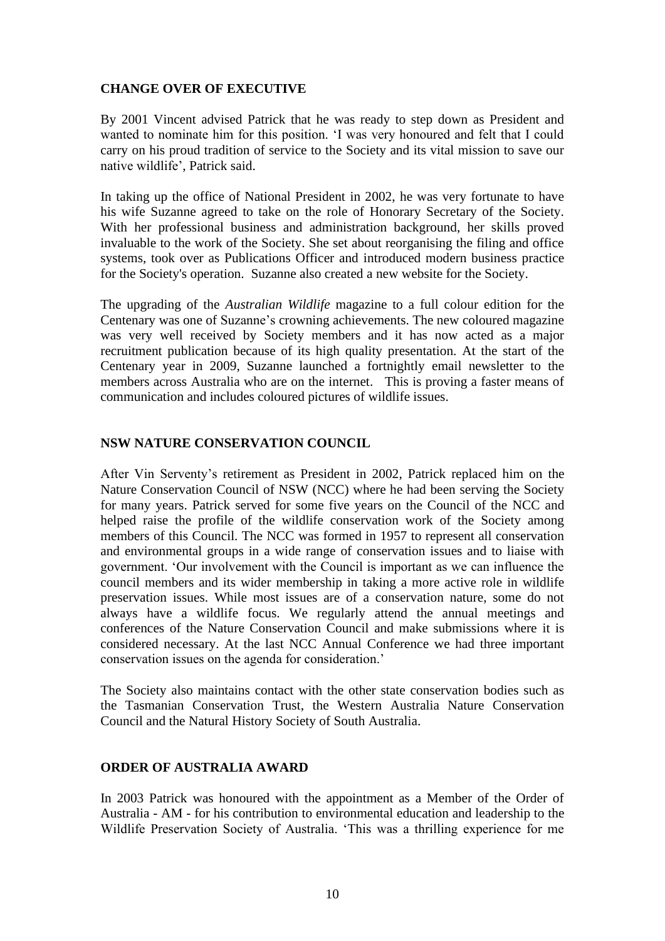## **CHANGE OVER OF EXECUTIVE**

By 2001 Vincent advised Patrick that he was ready to step down as President and wanted to nominate him for this position. 'I was very honoured and felt that I could carry on his proud tradition of service to the Society and its vital mission to save our native wildlife', Patrick said.

In taking up the office of National President in 2002, he was very fortunate to have his wife Suzanne agreed to take on the role of Honorary Secretary of the Society. With her professional business and administration background, her skills proved invaluable to the work of the Society. She set about reorganising the filing and office systems, took over as Publications Officer and introduced modern business practice for the Society's operation. Suzanne also created a new website for the Society.

The upgrading of the *Australian Wildlife* magazine to a full colour edition for the Centenary was one of Suzanne's crowning achievements. The new coloured magazine was very well received by Society members and it has now acted as a major recruitment publication because of its high quality presentation. At the start of the Centenary year in 2009, Suzanne launched a fortnightly email newsletter to the members across Australia who are on the internet. This is proving a faster means of communication and includes coloured pictures of wildlife issues.

#### **NSW NATURE CONSERVATION COUNCIL**

After Vin Serventy's retirement as President in 2002, Patrick replaced him on the Nature Conservation Council of NSW (NCC) where he had been serving the Society for many years. Patrick served for some five years on the Council of the NCC and helped raise the profile of the wildlife conservation work of the Society among members of this Council. The NCC was formed in 1957 to represent all conservation and environmental groups in a wide range of conservation issues and to liaise with government. 'Our involvement with the Council is important as we can influence the council members and its wider membership in taking a more active role in wildlife preservation issues. While most issues are of a conservation nature, some do not always have a wildlife focus. We regularly attend the annual meetings and conferences of the Nature Conservation Council and make submissions where it is considered necessary. At the last NCC Annual Conference we had three important conservation issues on the agenda for consideration.'

The Society also maintains contact with the other state conservation bodies such as the Tasmanian Conservation Trust, the Western Australia Nature Conservation Council and the Natural History Society of South Australia.

## **ORDER OF AUSTRALIA AWARD**

In 2003 Patrick was honoured with the appointment as a Member of the Order of Australia - AM - for his contribution to environmental education and leadership to the Wildlife Preservation Society of Australia. 'This was a thrilling experience for me